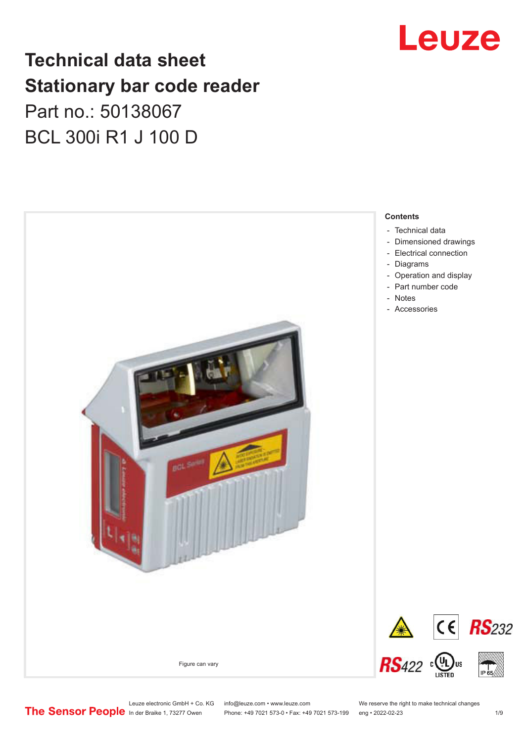## **Technical data sheet Stationary bar code reader** Part no.: 50138067 BCL 300i R1 J 100 D

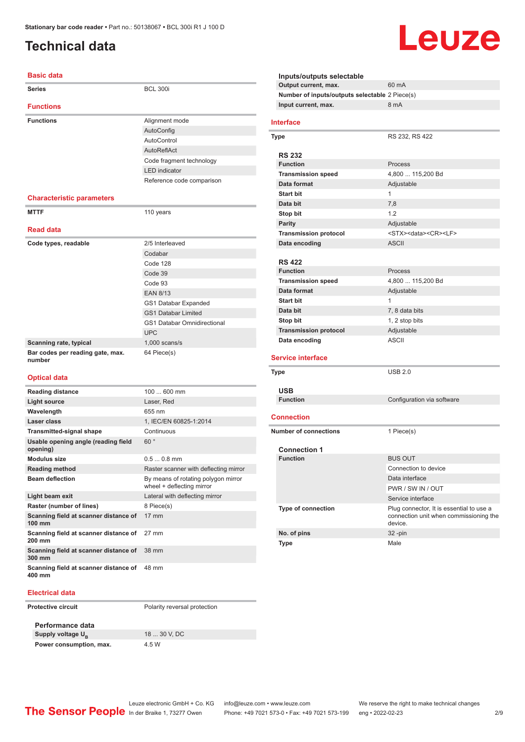## <span id="page-1-0"></span>**Technical data**

#### **Basic data**

| <b>Series</b>                              | <b>BCL 300i</b>                    |
|--------------------------------------------|------------------------------------|
|                                            |                                    |
| <b>Functions</b>                           |                                    |
| <b>Functions</b>                           | Alignment mode                     |
|                                            | AutoConfig                         |
|                                            | AutoControl                        |
|                                            | AutoReflAct                        |
|                                            | Code fragment technology           |
|                                            | <b>LED</b> indicator               |
|                                            | Reference code comparison          |
|                                            |                                    |
| <b>Characteristic parameters</b>           |                                    |
| <b>MTTF</b>                                | 110 years                          |
|                                            |                                    |
| <b>Read data</b>                           |                                    |
| Code types, readable                       | 2/5 Interleaved                    |
|                                            | Codabar                            |
|                                            | Code 128                           |
|                                            | Code 39                            |
|                                            | Code 93                            |
|                                            | <b>EAN 8/13</b>                    |
|                                            | GS1 Databar Expanded               |
|                                            | <b>GS1 Databar Limited</b>         |
|                                            | <b>GS1 Databar Omnidirectional</b> |
|                                            | <b>UPC</b>                         |
| Scanning rate, typical                     | $1,000$ scans/s                    |
| Bar codes per reading gate, max.<br>number | 64 Piece(s)                        |

#### **Optical data**

| <b>Reading distance</b>                                   | $100600$ mm                                                      |
|-----------------------------------------------------------|------------------------------------------------------------------|
| Light source                                              | Laser, Red                                                       |
| Wavelength                                                | 655 nm                                                           |
| Laser class                                               | 1, IEC/EN 60825-1:2014                                           |
| <b>Transmitted-signal shape</b>                           | Continuous                                                       |
| Usable opening angle (reading field<br>opening)           | 60°                                                              |
| Modulus size                                              | $0.50.8$ mm                                                      |
| <b>Reading method</b>                                     | Raster scanner with deflecting mirror                            |
| <b>Beam deflection</b>                                    | By means of rotating polygon mirror<br>wheel + deflecting mirror |
| Light beam exit                                           | Lateral with deflecting mirror                                   |
| Raster (number of lines)                                  | 8 Piece(s)                                                       |
| Scanning field at scanner distance of<br>100 mm           | $17 \, \text{mm}$                                                |
| Scanning field at scanner distance of<br>$200 \text{ mm}$ | $27 \text{ mm}$                                                  |
| Scanning field at scanner distance of<br>300 mm           | 38 mm                                                            |
| Scanning field at scanner distance of<br>400 mm           | 48 mm                                                            |

#### **Electrical data**

**Protective circuit** Polarity reversal protection

**Performance data** Supply voltage U<sub>B</sub> **Power consumption, max.** 4.5 W

18 ... 30 V, DC

**Inputs/outputs selectable Output current, max.** 60 mA **Number of inputs/outputs selectable** 2 Piece(s) **Input current, max.** 8 mA **Interface Type** RS 232, RS 422 **RS 232 Function** Process **Transmission speed** 4,800 ... 115,200 Bd **Data format** Adjustable **Start bit** 1 **Data bit** 7,8 **Stop bit** 1.2 **Parity** Adjustable Transmission protocol <STX><data><CR><LF> **Data encoding** ASCII **RS 422 Function** Process **Transmission speed** 4,800 ... 115,200 Bd **Data format** Adjustable **Start bit** 1 **Data bit** 7, 8 data bits **Stop bit** 1, 2 stop bits **Transmission protocol** Adjustable **Data encoding ASCII Service interface Type** USB 2.0 **USB Function Configuration via software Connection Number of connections** 1 Piece(s) **Connection 1 Function** BUS OUT Connection to device Data interface PWR / SW IN / OUT Service interface **Type of connection Plug connector, It is essential to use a** device. **No. of pins** 32 -pin **Type** Male

| <b>Start bit</b>             | 1                                                                                             |
|------------------------------|-----------------------------------------------------------------------------------------------|
| Data bit                     | 7, 8 data bits                                                                                |
| Stop bit                     | 1, 2 stop bits                                                                                |
| <b>Transmission protocol</b> | Adjustable                                                                                    |
| Data encoding                | <b>ASCII</b>                                                                                  |
| ervice interface             |                                                                                               |
| rpe                          | <b>USB 2.0</b>                                                                                |
| <b>USB</b>                   |                                                                                               |
| <b>Function</b>              | Configuration via software                                                                    |
| onnection                    |                                                                                               |
| umber of connections         | 1 Piece(s)                                                                                    |
| <b>Connection 1</b>          |                                                                                               |
| <b>Function</b>              | <b>BUS OUT</b>                                                                                |
|                              | Connection to device                                                                          |
|                              | Data interface                                                                                |
|                              | PWR / SW IN / OUT                                                                             |
|                              | Service interface                                                                             |
| <b>Type of connection</b>    | Plug connector, It is essential to use a<br>connection unit when commissioning the<br>device. |
| No of nine                   | $22 \nmin$                                                                                    |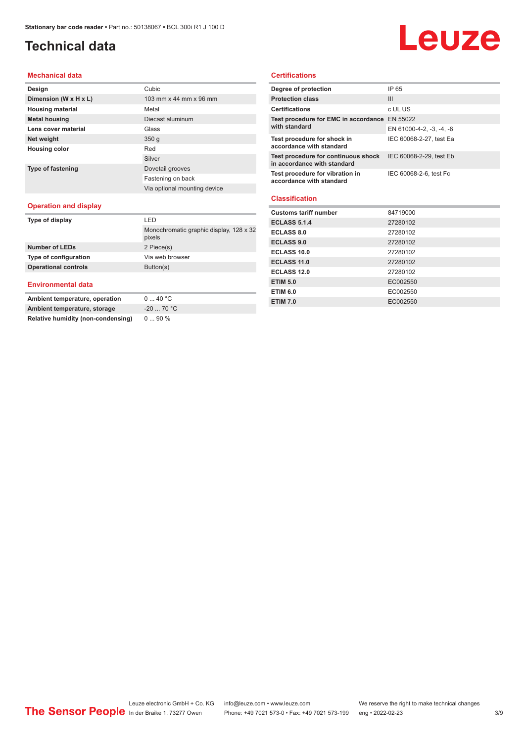## **Technical data**

# **Leuze**

#### **Mechanical data**

| Design                       | Cubic                        |
|------------------------------|------------------------------|
| Dimension (W x H x L)        | 103 mm x 44 mm x 96 mm       |
| <b>Housing material</b>      | Metal                        |
| <b>Metal housing</b>         | Diecast aluminum             |
| Lens cover material          | Glass                        |
| Net weight                   | 350q                         |
| <b>Housing color</b>         | Red                          |
|                              | Silver                       |
| <b>Type of fastening</b>     | Dovetail grooves             |
|                              | Fastening on back            |
|                              | Via optional mounting device |
| <b>Operation and display</b> |                              |

#### **Operation and display**

| Type of display             | I FD                                              |  |
|-----------------------------|---------------------------------------------------|--|
|                             | Monochromatic graphic display, 128 x 32<br>pixels |  |
| <b>Number of LEDs</b>       | 2 Piece(s)                                        |  |
| Type of configuration       | Via web browser                                   |  |
| <b>Operational controls</b> | Button(s)                                         |  |
|                             |                                                   |  |

#### **Environmental data**

| Ambient temperature, operation     | 040 °C      |
|------------------------------------|-------------|
| Ambient temperature, storage       | $-20$ 70 °C |
| Relative humidity (non-condensing) | $090\%$     |

#### **Certifications**

| Degree of protection                                               | IP 65                    |
|--------------------------------------------------------------------|--------------------------|
| <b>Protection class</b>                                            | Ш                        |
| <b>Certifications</b>                                              | c UL US                  |
| Test procedure for EMC in accordance EN 55022<br>with standard     |                          |
|                                                                    | EN 61000-4-2, -3, -4, -6 |
| Test procedure for shock in<br>accordance with standard            | IEC 60068-2-27, test Ea  |
| Test procedure for continuous shock<br>in accordance with standard | IEC 60068-2-29, test Eb  |
| Test procedure for vibration in<br>accordance with standard        | IEC 60068-2-6, test Fc   |

#### **Classification**

| <b>Customs tariff number</b> | 84719000 |
|------------------------------|----------|
| <b>ECLASS 5.1.4</b>          | 27280102 |
| <b>ECLASS 8.0</b>            | 27280102 |
| <b>ECLASS 9.0</b>            | 27280102 |
| ECLASS 10.0                  | 27280102 |
| ECLASS 11.0                  | 27280102 |
| ECLASS 12.0                  | 27280102 |
| <b>ETIM 5.0</b>              | EC002550 |
| <b>ETIM 6.0</b>              | EC002550 |
| <b>ETIM 7.0</b>              | EC002550 |

Leuze electronic GmbH + Co. KG info@leuze.com • www.leuze.com We reserve the right to make technical changes In der Braike 1, 73277 Owen Phone: +49 7021 573-0 • Fax: +49 7021 573-199 eng • 2022-02-23 3/9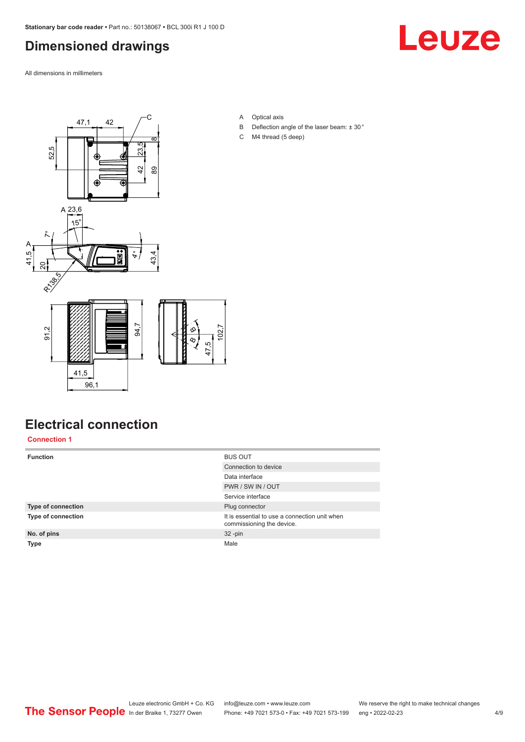### <span id="page-3-0"></span>**Dimensioned drawings**

All dimensions in millimeters





- A Optical axis
- B Deflection angle of the laser beam:  $\pm 30^{\circ}$ C M4 thread (5 deep)

**Electrical connection Connection 1**

| <b>Function</b>           | <b>BUS OUT</b>                                                             |
|---------------------------|----------------------------------------------------------------------------|
|                           | Connection to device                                                       |
|                           | Data interface                                                             |
|                           | PWR / SW IN / OUT                                                          |
|                           | Service interface                                                          |
| <b>Type of connection</b> | Plug connector                                                             |
| Type of connection        | It is essential to use a connection unit when<br>commissioning the device. |
| No. of pins               | $32 - pin$                                                                 |
| <b>Type</b>               | Male                                                                       |
|                           |                                                                            |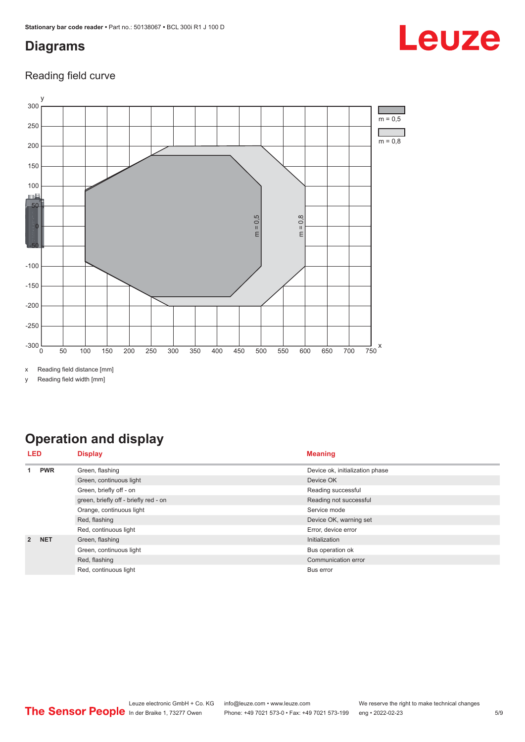#### <span id="page-4-0"></span>**Diagrams**

#### Reading field curve



x Reading field distance [mm]

y Reading field width [mm]

## **Operation and display**

| LED           |            | <b>Display</b>                        | <b>Meaning</b>                  |
|---------------|------------|---------------------------------------|---------------------------------|
|               | <b>PWR</b> | Green, flashing                       | Device ok, initialization phase |
|               |            | Green, continuous light               | Device OK                       |
|               |            | Green, briefly off - on               | Reading successful              |
|               |            | green, briefly off - briefly red - on | Reading not successful          |
|               |            | Orange, continuous light              | Service mode                    |
|               |            | Red, flashing                         | Device OK, warning set          |
|               |            | Red, continuous light                 | Error, device error             |
| $\mathcal{P}$ | <b>NET</b> | Green, flashing                       | Initialization                  |
|               |            | Green, continuous light               | Bus operation ok                |
|               |            | Red, flashing                         | Communication error             |
|               |            | Red, continuous light                 | Bus error                       |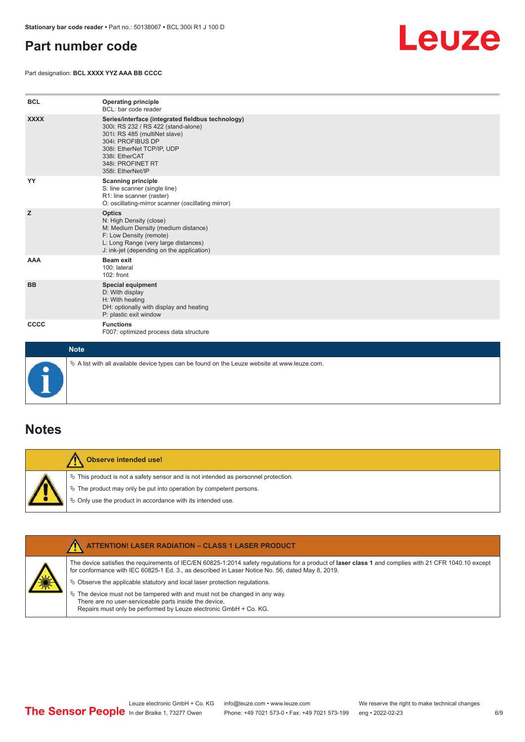#### <span id="page-5-0"></span>**Part number code**

Part designation: **BCL XXXX YYZ AAA BB CCCC**



| <b>BCL</b>  | <b>Operating principle</b><br>BCL: bar code reader                                                                                                                                                                                       |
|-------------|------------------------------------------------------------------------------------------------------------------------------------------------------------------------------------------------------------------------------------------|
| <b>XXXX</b> | Series/interface (integrated fieldbus technology)<br>300i: RS 232 / RS 422 (stand-alone)<br>301i: RS 485 (multiNet slave)<br>304i: PROFIBUS DP<br>308i: EtherNet TCP/IP, UDP<br>338i: EtherCAT<br>348i: PROFINET RT<br>358i: EtherNet/IP |
| YY          | <b>Scanning principle</b><br>S: line scanner (single line)<br>R1: line scanner (raster)<br>O: oscillating-mirror scanner (oscillating mirror)                                                                                            |
| z           | <b>Optics</b><br>N: High Density (close)<br>M: Medium Density (medium distance)<br>F: Low Density (remote)<br>L: Long Range (very large distances)<br>J: ink-jet (depending on the application)                                          |
| <b>AAA</b>  | Beam exit<br>100: lateral<br>102: front                                                                                                                                                                                                  |
| <b>BB</b>   | <b>Special equipment</b><br>D: With display<br>H: With heating<br>DH: optionally with display and heating<br>P: plastic exit window                                                                                                      |
| <b>CCCC</b> | <b>Functions</b><br>F007: optimized process data structure                                                                                                                                                                               |
| <b>Note</b> |                                                                                                                                                                                                                                          |



 $\%$  A list with all available device types can be found on the Leuze website at www.leuze.com.

#### **Notes**

**Observe intended use!** Λ  $\%$  This product is not a safety sensor and is not intended as personnel protection.  $\%$  The product may only be put into operation by competent persons.  $\%$  Only use the product in accordance with its intended use.

| <b>ATTENTION! LASER RADIATION - CLASS 1 LASER PRODUCT</b>                                                                                                                                                                                                  |
|------------------------------------------------------------------------------------------------------------------------------------------------------------------------------------------------------------------------------------------------------------|
| The device satisfies the requirements of IEC/EN 60825-1:2014 safety regulations for a product of laser class 1 and complies with 21 CFR 1040.10 except<br>for conformance with IEC 60825-1 Ed. 3., as described in Laser Notice No. 56, dated May 8, 2019. |
| $\&$ Observe the applicable statutory and local laser protection requisitions.                                                                                                                                                                             |
| $\%$ The device must not be tampered with and must not be changed in any way.<br>There are no user-serviceable parts inside the device.<br>Repairs must only be performed by Leuze electronic GmbH + Co. KG.                                               |
|                                                                                                                                                                                                                                                            |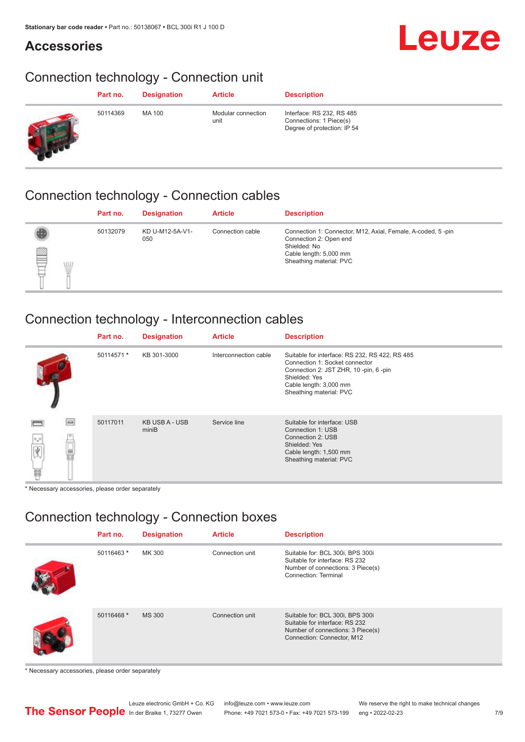#### **Accessories**

## Leuze

## Connection technology - Connection unit

| Part no. | <b>Designation</b> | <b>Article</b>             | <b>Description</b>                                                                  |
|----------|--------------------|----------------------------|-------------------------------------------------------------------------------------|
| 50114369 | MA 100             | Modular connection<br>unit | Interface: RS 232, RS 485<br>Connections: 1 Piece(s)<br>Degree of protection: IP 54 |

#### Connection technology - Connection cables

|        |            | Part no. | <b>Designation</b>     | <b>Article</b>   | <b>Description</b>                                                                                                                                         |
|--------|------------|----------|------------------------|------------------|------------------------------------------------------------------------------------------------------------------------------------------------------------|
| ▤<br>ᇦ | <b>ALL</b> | 50132079 | KD U-M12-5A-V1-<br>050 | Connection cable | Connection 1: Connector, M12, Axial, Female, A-coded, 5-pin<br>Connection 2: Open end<br>Shielded: No<br>Cable length: 5,000 mm<br>Sheathing material: PVC |

### Connection technology - Interconnection cables

|                      | Part no.   | <b>Designation</b>      | <b>Article</b>        | <b>Description</b>                                                                                                                                                                               |
|----------------------|------------|-------------------------|-----------------------|--------------------------------------------------------------------------------------------------------------------------------------------------------------------------------------------------|
|                      | 50114571 * | KB 301-3000             | Interconnection cable | Suitable for interface: RS 232, RS 422, RS 485<br>Connection 1: Socket connector<br>Connection 2: JST ZHR, 10 -pin, 6 -pin<br>Shielded: Yes<br>Cable length: 3,000 mm<br>Sheathing material: PVC |
| e<br>$\sigma^a$<br>Ħ | 50117011   | KB USB A - USB<br>miniB | Service line          | Suitable for interface: USB<br>Connection 1: USB<br>Connection 2: USB<br>Shielded: Yes<br>Cable length: 1,500 mm<br>Sheathing material: PVC                                                      |

\* Necessary accessories, please order separately

### Connection technology - Connection boxes

| Part no.   | <b>Designation</b> | <b>Article</b>  | <b>Description</b>                                                                                                                    |
|------------|--------------------|-----------------|---------------------------------------------------------------------------------------------------------------------------------------|
| 50116463 * | MK 300             | Connection unit | Suitable for: BCL 300i, BPS 300i<br>Suitable for interface: RS 232<br>Number of connections: 3 Piece(s)<br>Connection: Terminal       |
| 50116468 * | <b>MS 300</b>      | Connection unit | Suitable for: BCL 300i, BPS 300i<br>Suitable for interface: RS 232<br>Number of connections: 3 Piece(s)<br>Connection: Connector, M12 |

\* Necessary accessories, please order separately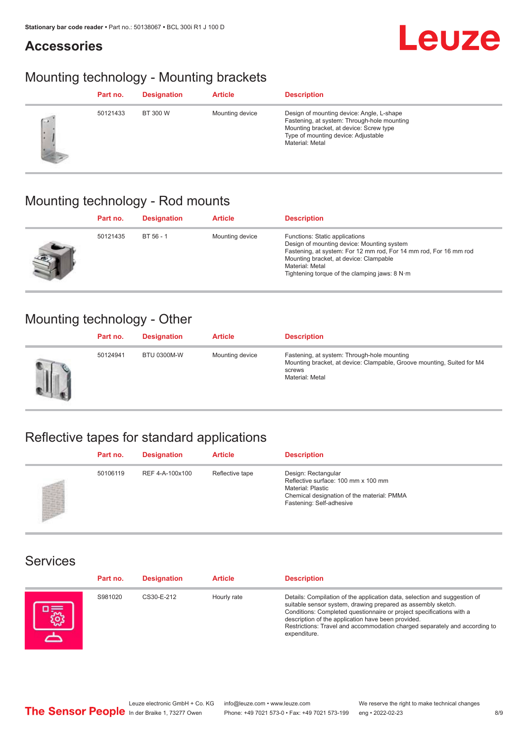#### **Accessories**



### Mounting technology - Mounting brackets

|           | Part no. | <b>Designation</b> | <b>Article</b>  | <b>Description</b>                                                                                                                                                                            |
|-----------|----------|--------------------|-----------------|-----------------------------------------------------------------------------------------------------------------------------------------------------------------------------------------------|
| <b>CV</b> | 50121433 | BT 300 W           | Mounting device | Design of mounting device: Angle, L-shape<br>Fastening, at system: Through-hole mounting<br>Mounting bracket, at device: Screw type<br>Type of mounting device: Adjustable<br>Material: Metal |

## Mounting technology - Rod mounts

| Part no. | <b>Designation</b> | <b>Article</b>  | <b>Description</b>                                                                                                                                                                                                                                                |
|----------|--------------------|-----------------|-------------------------------------------------------------------------------------------------------------------------------------------------------------------------------------------------------------------------------------------------------------------|
| 50121435 | BT 56 - 1          | Mounting device | Functions: Static applications<br>Design of mounting device: Mounting system<br>Fastening, at system: For 12 mm rod, For 14 mm rod, For 16 mm rod<br>Mounting bracket, at device: Clampable<br>Material: Metal<br>Tightening torque of the clamping jaws: $8 N·m$ |

#### Mounting technology - Other

|   | Part no. | <b>Designation</b> | <b>Article</b>  | <b>Description</b>                                                                                                                                 |
|---|----------|--------------------|-----------------|----------------------------------------------------------------------------------------------------------------------------------------------------|
| Ш | 50124941 | <b>BTU 0300M-W</b> | Mounting device | Fastening, at system: Through-hole mounting<br>Mounting bracket, at device: Clampable, Groove mounting, Suited for M4<br>screws<br>Material: Metal |

## Reflective tapes for standard applications

| Part no. | <b>Designation</b> | <b>Article</b>  | <b>Description</b>                                                                                                                                               |
|----------|--------------------|-----------------|------------------------------------------------------------------------------------------------------------------------------------------------------------------|
| 50106119 | REF 4-A-100x100    | Reflective tape | Design: Rectangular<br>Reflective surface: 100 mm x 100 mm<br><b>Material: Plastic</b><br>Chemical designation of the material: PMMA<br>Fastening: Self-adhesive |

#### Services

| Part no. | <b>Designation</b> | <b>Article</b> | <b>Description</b>                                                                                                                                                                                                                                                                                                                                                    |
|----------|--------------------|----------------|-----------------------------------------------------------------------------------------------------------------------------------------------------------------------------------------------------------------------------------------------------------------------------------------------------------------------------------------------------------------------|
| S981020  | CS30-E-212         | Hourly rate    | Details: Compilation of the application data, selection and suggestion of<br>suitable sensor system, drawing prepared as assembly sketch.<br>Conditions: Completed questionnaire or project specifications with a<br>description of the application have been provided.<br>Restrictions: Travel and accommodation charged separately and according to<br>expenditure. |